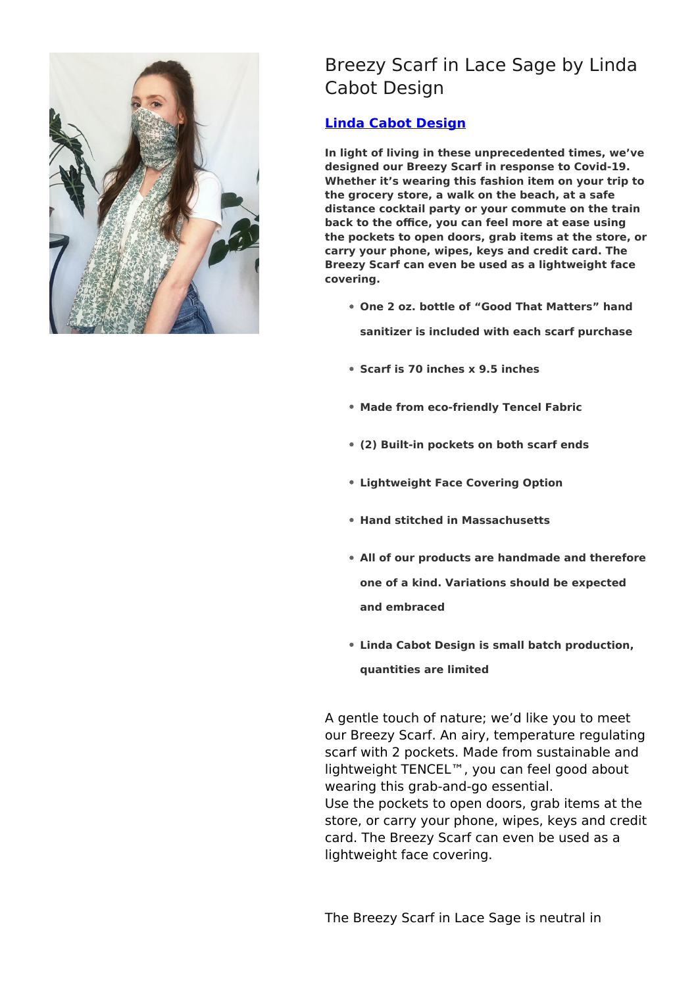

## Breezy Scarf in Lace Sage by Linda Cabot Design

## **[Linda Cabot Design](https://designtrade.net/store/linda-cabot-design/)**

**In light of living in these unprecedented times, we've designed our Breezy Scarf in response to Covid-19. Whether it's wearing this fashion item on your trip to the grocery store, a walk on the beach, at a safe distance cocktail party or your commute on the train back to the office, you can feel more at ease using the pockets to open doors, grab items at the store, or carry your phone, wipes, keys and credit card. The Breezy Scarf can even be used as a lightweight face covering.**

**One 2 oz. bottle of "Good That Matters" hand**

**sanitizer is included with each scarf purchase**

- **Scarf is 70 inches x 9.5 inches**
- **Made from eco-friendly Tencel Fabric**
- **(2) Built-in pockets on both scarf ends**
- **Lightweight Face Covering Option**
- **Hand stitched in Massachusetts**
- **All of our products are handmade and therefore one of a kind. Variations should be expected and embraced**
- **Linda Cabot Design is small batch production, quantities are limited**

A gentle touch of nature; we'd like you to meet our Breezy Scarf. An airy, temperature regulating scarf with 2 pockets. Made from sustainable and lightweight TENCEL™, you can feel good about wearing this grab-and-go essential. Use the pockets to open doors, grab items at the store, or carry your phone, wipes, keys and credit card. The Breezy Scarf can even be used as a lightweight face covering.